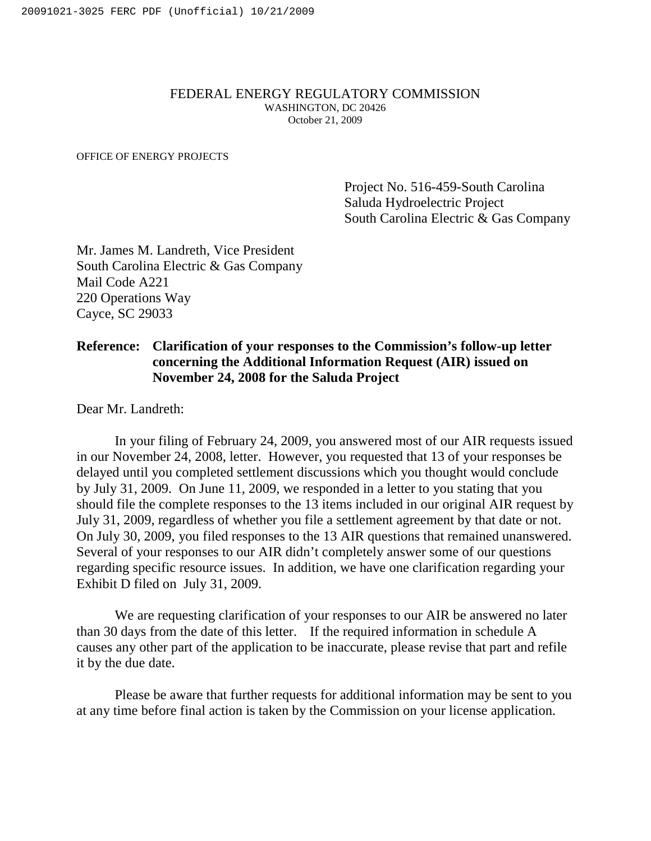## FEDERAL ENERGY REGULATORY COMMISSION WASHINGTON, DC 20426 October 21, 2009

OFFICE OF ENERGY PROJECTS

Project No. 516-459-South Carolina Saluda Hydroelectric Project South Carolina Electric & Gas Company

Mr. James M. Landreth, Vice President South Carolina Electric & Gas Company Mail Code A221 220 Operations Way Cayce, SC 29033

## **Reference: Clarification of your responses to the Commission's follow-up letter concerning the Additional Information Request (AIR) issued on November 24, 2008 for the Saluda Project**

Dear Mr. Landreth:

In your filing of February 24, 2009, you answered most of our AIR requests issued in our November 24, 2008, letter. However, you requested that 13 of your responses be delayed until you completed settlement discussions which you thought would conclude by July 31, 2009. On June 11, 2009, we responded in a letter to you stating that you should file the complete responses to the 13 items included in our original AIR request by July 31, 2009, regardless of whether you file a settlement agreement by that date or not. On July 30, 2009, you filed responses to the 13 AIR questions that remained unanswered. Several of your responses to our AIR didn't completely answer some of our questions regarding specific resource issues. In addition, we have one clarification regarding your Exhibit D filed on July 31, 2009.

We are requesting clarification of your responses to our AIR be answered no later than 30 days from the date of this letter. If the required information in schedule A causes any other part of the application to be inaccurate, please revise that part and refile it by the due date.

Please be aware that further requests for additional information may be sent to you at any time before final action is taken by the Commission on your license application.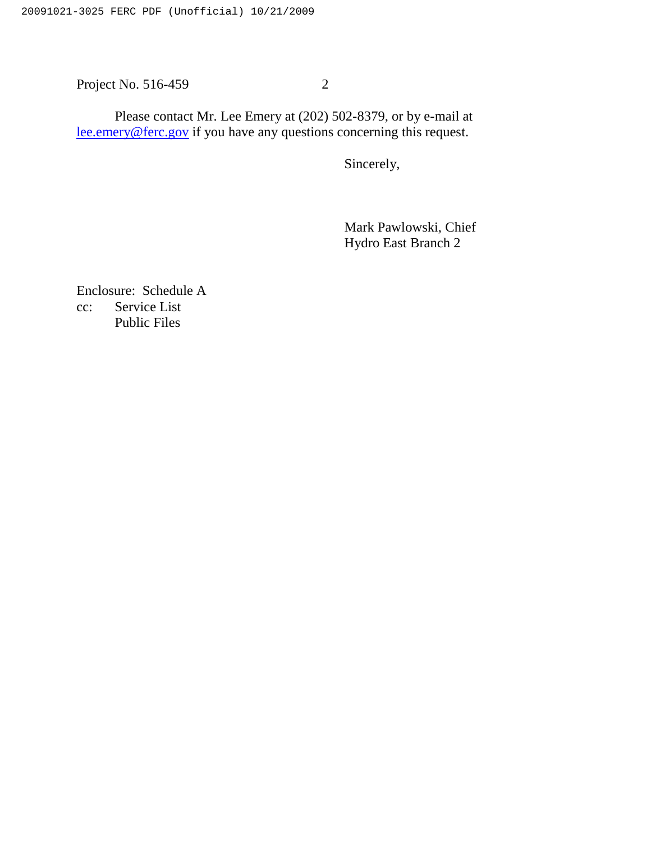Project No. 516-459 2

Please contact Mr. Lee Emery at (202) 502-8379, or by e-mail at lee.emery@ferc.gov if you have any questions concerning this request.

Sincerely,

Mark Pawlowski, Chief Hydro East Branch 2

Enclosure: Schedule A cc: Service List Public Files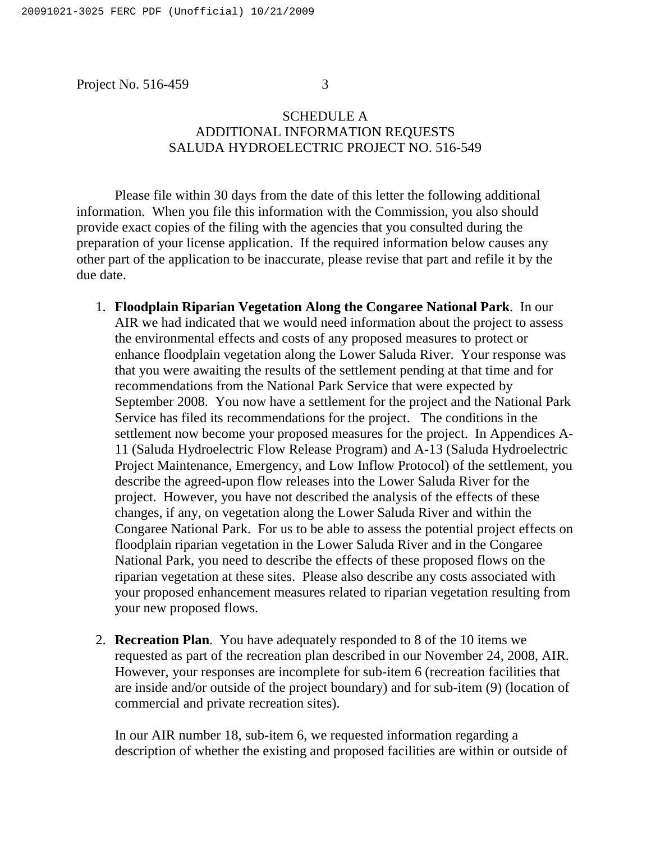Project No. 516-459 3

## SCHEDULE A ADDITIONAL INFORMATION REQUESTS SALUDA HYDROELECTRIC PROJECT NO. 516-549

Please file within 30 days from the date of this letter the following additional information. When you file this information with the Commission, you also should provide exact copies of the filing with the agencies that you consulted during the preparation of your license application. If the required information below causes any other part of the application to be inaccurate, please revise that part and refile it by the due date.

- 1. **Floodplain Riparian Vegetation Along the Congaree National Park**. In our AIR we had indicated that we would need information about the project to assess the environmental effects and costs of any proposed measures to protect or enhance floodplain vegetation along the Lower Saluda River. Your response was that you were awaiting the results of the settlement pending at that time and for recommendations from the National Park Service that were expected by September 2008. You now have a settlement for the project and the National Park Service has filed its recommendations for the project. The conditions in the settlement now become your proposed measures for the project. In Appendices A-11 (Saluda Hydroelectric Flow Release Program) and A-13 (Saluda Hydroelectric Project Maintenance, Emergency, and Low Inflow Protocol) of the settlement, you describe the agreed-upon flow releases into the Lower Saluda River for the project. However, you have not described the analysis of the effects of these changes, if any, on vegetation along the Lower Saluda River and within the Congaree National Park. For us to be able to assess the potential project effects on floodplain riparian vegetation in the Lower Saluda River and in the Congaree National Park, you need to describe the effects of these proposed flows on the riparian vegetation at these sites. Please also describe any costs associated with your proposed enhancement measures related to riparian vegetation resulting from your new proposed flows.
- 2. **Recreation Plan**. You have adequately responded to 8 of the 10 items we requested as part of the recreation plan described in our November 24, 2008, AIR. However, your responses are incomplete for sub-item 6 (recreation facilities that are inside and/or outside of the project boundary) and for sub-item (9) (location of commercial and private recreation sites).

In our AIR number 18, sub-item 6, we requested information regarding a description of whether the existing and proposed facilities are within or outside of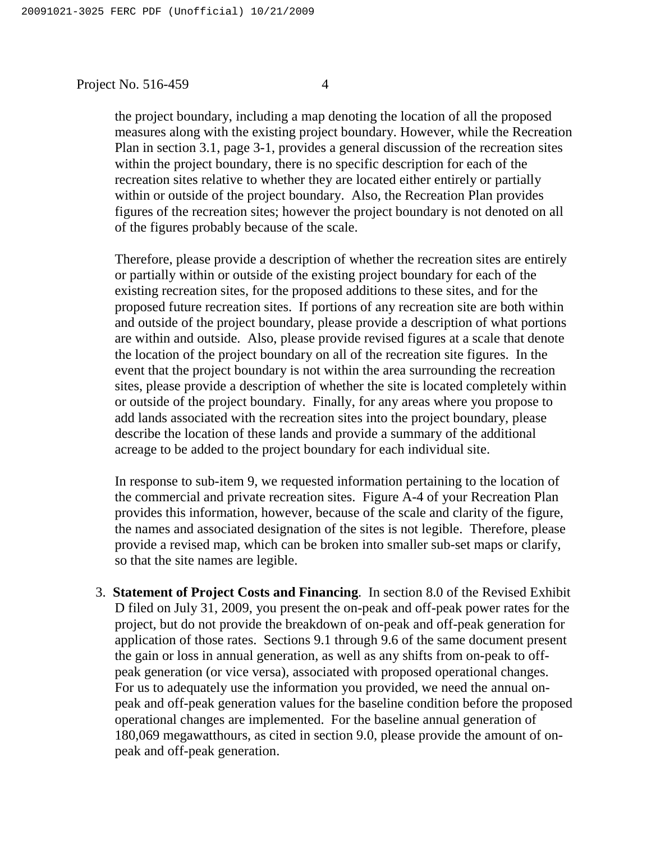## Project No. 516-459 4

the project boundary, including a map denoting the location of all the proposed measures along with the existing project boundary. However, while the Recreation Plan in section 3.1, page 3-1, provides a general discussion of the recreation sites within the project boundary, there is no specific description for each of the recreation sites relative to whether they are located either entirely or partially within or outside of the project boundary. Also, the Recreation Plan provides figures of the recreation sites; however the project boundary is not denoted on all of the figures probably because of the scale.

Therefore, please provide a description of whether the recreation sites are entirely or partially within or outside of the existing project boundary for each of the existing recreation sites, for the proposed additions to these sites, and for the proposed future recreation sites. If portions of any recreation site are both within and outside of the project boundary, please provide a description of what portions are within and outside. Also, please provide revised figures at a scale that denote the location of the project boundary on all of the recreation site figures. In the event that the project boundary is not within the area surrounding the recreation sites, please provide a description of whether the site is located completely within or outside of the project boundary. Finally, for any areas where you propose to add lands associated with the recreation sites into the project boundary, please describe the location of these lands and provide a summary of the additional acreage to be added to the project boundary for each individual site.

In response to sub-item 9, we requested information pertaining to the location of the commercial and private recreation sites. Figure A-4 of your Recreation Plan provides this information, however, because of the scale and clarity of the figure, the names and associated designation of the sites is not legible. Therefore, please provide a revised map, which can be broken into smaller sub-set maps or clarify, so that the site names are legible.

3. **Statement of Project Costs and Financing**. In section 8.0 of the Revised Exhibit D filed on July 31, 2009, you present the on-peak and off-peak power rates for the project, but do not provide the breakdown of on-peak and off-peak generation for application of those rates. Sections 9.1 through 9.6 of the same document present the gain or loss in annual generation, as well as any shifts from on-peak to offpeak generation (or vice versa), associated with proposed operational changes. For us to adequately use the information you provided, we need the annual onpeak and off-peak generation values for the baseline condition before the proposed operational changes are implemented. For the baseline annual generation of 180,069 megawatthours, as cited in section 9.0, please provide the amount of onpeak and off-peak generation.